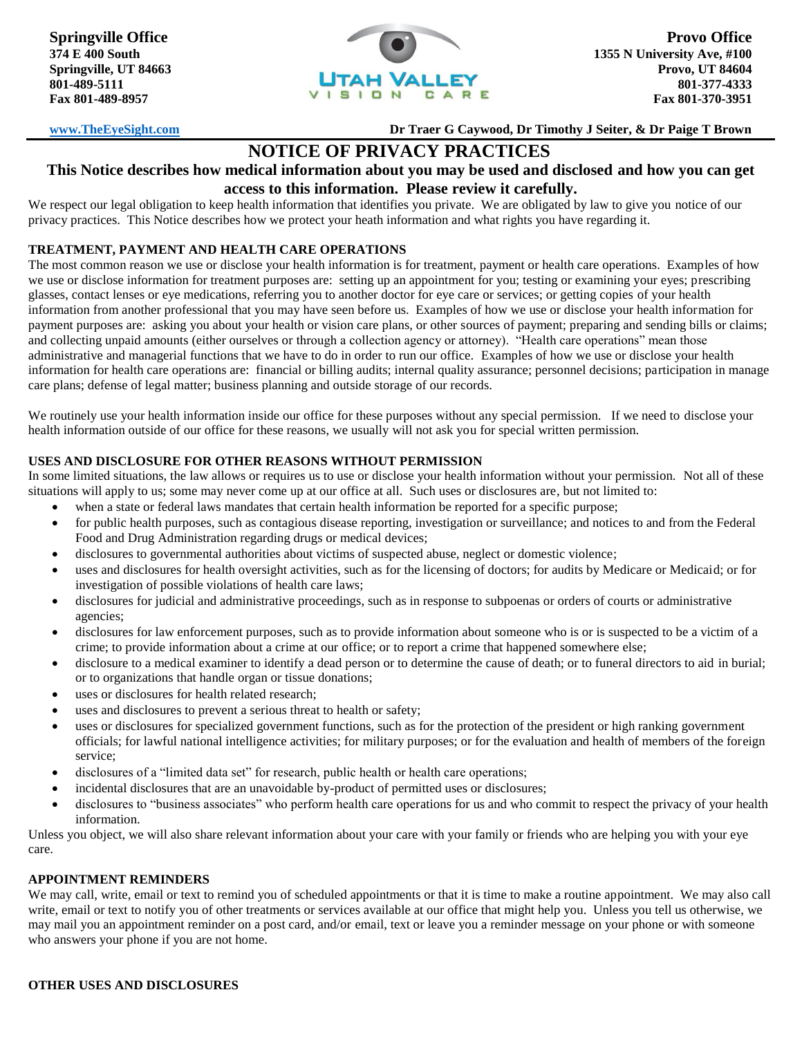

**[www.TheEyeSight.com](http://www.theeyesight.com/) Dr Traer G Caywood, Dr Timothy J Seiter, & Dr Paige T Brown**

# **NOTICE OF PRIVACY PRACTICES**

## **This Notice describes how medical information about you may be used and disclosed and how you can get access to this information. Please review it carefully.**

We respect our legal obligation to keep health information that identifies you private. We are obligated by law to give you notice of our privacy practices. This Notice describes how we protect your heath information and what rights you have regarding it.

## **TREATMENT, PAYMENT AND HEALTH CARE OPERATIONS**

The most common reason we use or disclose your health information is for treatment, payment or health care operations. Examples of how we use or disclose information for treatment purposes are: setting up an appointment for you; testing or examining your eyes; prescribing glasses, contact lenses or eye medications, referring you to another doctor for eye care or services; or getting copies of your health information from another professional that you may have seen before us. Examples of how we use or disclose your health information for payment purposes are: asking you about your health or vision care plans, or other sources of payment; preparing and sending bills or claims; and collecting unpaid amounts (either ourselves or through a collection agency or attorney). "Health care operations" mean those administrative and managerial functions that we have to do in order to run our office. Examples of how we use or disclose your health information for health care operations are: financial or billing audits; internal quality assurance; personnel decisions; participation in manage care plans; defense of legal matter; business planning and outside storage of our records.

We routinely use your health information inside our office for these purposes without any special permission. If we need to disclose your health information outside of our office for these reasons, we usually will not ask you for special written permission.

## **USES AND DISCLOSURE FOR OTHER REASONS WITHOUT PERMISSION**

In some limited situations, the law allows or requires us to use or disclose your health information without your permission. Not all of these situations will apply to us; some may never come up at our office at all. Such uses or disclosures are, but not limited to:

- when a state or federal laws mandates that certain health information be reported for a specific purpose;
- for public health purposes, such as contagious disease reporting, investigation or surveillance; and notices to and from the Federal Food and Drug Administration regarding drugs or medical devices;
- disclosures to governmental authorities about victims of suspected abuse, neglect or domestic violence;
- uses and disclosures for health oversight activities, such as for the licensing of doctors; for audits by Medicare or Medicaid; or for investigation of possible violations of health care laws;
- disclosures for judicial and administrative proceedings, such as in response to subpoenas or orders of courts or administrative agencies;
- disclosures for law enforcement purposes, such as to provide information about someone who is or is suspected to be a victim of a crime; to provide information about a crime at our office; or to report a crime that happened somewhere else;
- disclosure to a medical examiner to identify a dead person or to determine the cause of death; or to funeral directors to aid in burial; or to organizations that handle organ or tissue donations;
- uses or disclosures for health related research;
- uses and disclosures to prevent a serious threat to health or safety;
- uses or disclosures for specialized government functions, such as for the protection of the president or high ranking government officials; for lawful national intelligence activities; for military purposes; or for the evaluation and health of members of the foreign service;
- disclosures of a "limited data set" for research, public health or health care operations;
- incidental disclosures that are an unavoidable by-product of permitted uses or disclosures;
- disclosures to "business associates" who perform health care operations for us and who commit to respect the privacy of your health information.

Unless you object, we will also share relevant information about your care with your family or friends who are helping you with your eye care.

## **APPOINTMENT REMINDERS**

We may call, write, email or text to remind you of scheduled appointments or that it is time to make a routine appointment. We may also call write, email or text to notify you of other treatments or services available at our office that might help you. Unless you tell us otherwise, we may mail you an appointment reminder on a post card, and/or email, text or leave you a reminder message on your phone or with someone who answers your phone if you are not home.

#### **OTHER USES AND DISCLOSURES**